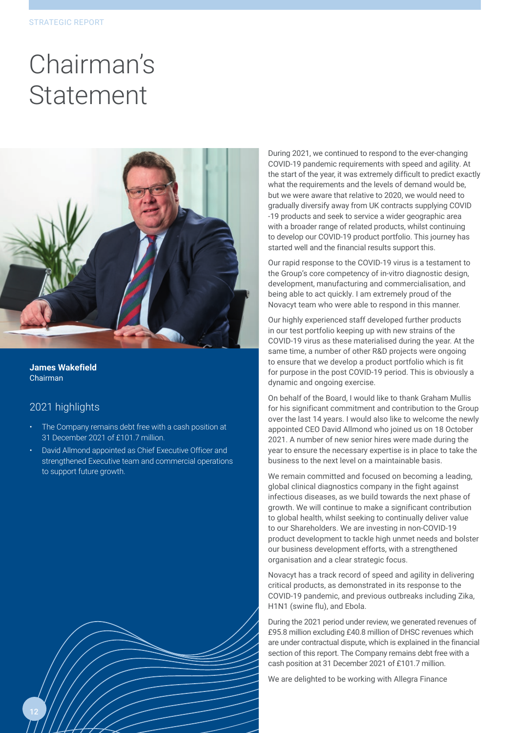## Chairman's Statement



**James Wakefield** Chairman

## 2021 highlights

- The Company remains debt free with a cash position at 31 December 2021 of £101.7 million.
- David Allmond appointed as Chief Executive Officer and strengthened Executive team and commercial operations to support future growth.

During 2021, we continued to respond to the ever-changing COVID-19 pandemic requirements with speed and agility. At the start of the year, it was extremely difficult to predict exactly what the requirements and the levels of demand would be, but we were aware that relative to 2020, we would need to gradually diversify away from UK contracts supplying COVID -19 products and seek to service a wider geographic area with a broader range of related products, whilst continuing to develop our COVID-19 product portfolio. This journey has started well and the financial results support this.

Our rapid response to the COVID-19 virus is a testament to the Group's core competency of in-vitro diagnostic design, development, manufacturing and commercialisation, and being able to act quickly. I am extremely proud of the Novacyt team who were able to respond in this manner.

Our highly experienced staff developed further products in our test portfolio keeping up with new strains of the COVID-19 virus as these materialised during the year. At the same time, a number of other R&D projects were ongoing to ensure that we develop a product portfolio which is fit for purpose in the post COVID-19 period. This is obviously a dynamic and ongoing exercise.

On behalf of the Board, I would like to thank Graham Mullis for his significant commitment and contribution to the Group over the last 14 years. I would also like to welcome the newly appointed CEO David Allmond who joined us on 18 October 2021. A number of new senior hires were made during the year to ensure the necessary expertise is in place to take the business to the next level on a maintainable basis.

We remain committed and focused on becoming a leading, global clinical diagnostics company in the fight against infectious diseases, as we build towards the next phase of growth. We will continue to make a significant contribution to global health, whilst seeking to continually deliver value to our Shareholders. We are investing in non-COVID-19 product development to tackle high unmet needs and bolster our business development efforts, with a strengthened organisation and a clear strategic focus.

Novacyt has a track record of speed and agility in delivering critical products, as demonstrated in its response to the COVID-19 pandemic, and previous outbreaks including Zika, H1N1 (swine flu), and Ebola.

During the 2021 period under review, we generated revenues of £95.8 million excluding £40.8 million of DHSC revenues which are under contractual dispute, which is explained in the financial section of this report. The Company remains debt free with a cash position at 31 December 2021 of £101.7 million.

We are delighted to be working with Allegra Finance